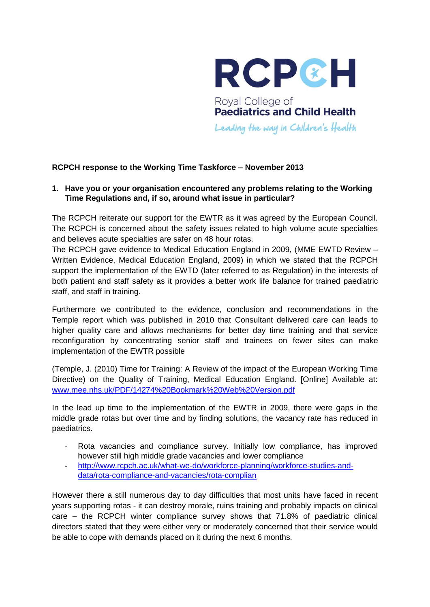

# Royal College of **Paediatrics and Child Health**

Leading the way in Children's Health

## **RCPCH response to the Working Time Taskforce – November 2013**

## **1. Have you or your organisation encountered any problems relating to the Working Time Regulations and, if so, around what issue in particular?**

The RCPCH reiterate our support for the EWTR as it was agreed by the European Council. The RCPCH is concerned about the safety issues related to high volume acute specialties and believes acute specialties are safer on 48 hour rotas.

The RCPCH gave evidence to Medical Education England in 2009, (MME EWTD Review – Written Evidence, Medical Education England, 2009) in which we stated that the RCPCH support the implementation of the EWTD (later referred to as Regulation) in the interests of both patient and staff safety as it provides a better work life balance for trained paediatric staff, and staff in training.

Furthermore we contributed to the evidence, conclusion and recommendations in the Temple report which was published in 2010 that Consultant delivered care can leads to higher quality care and allows mechanisms for better day time training and that service reconfiguration by concentrating senior staff and trainees on fewer sites can make implementation of the EWTR possible

(Temple, J. (2010) Time for Training: A Review of the impact of the European Working Time Directive) on the Quality of Training, Medical Education England. [Online] Available at: [www.mee.nhs.uk/PDF/14274%20Bookmark%20Web%20Version.pdf](http://www.mee.nhs.uk/PDF/14274%20Bookmark%20Web%20Version.pdf)

In the lead up time to the implementation of the EWTR in 2009, there were gaps in the middle grade rotas but over time and by finding solutions, the vacancy rate has reduced in paediatrics.

- Rota vacancies and compliance survey. Initially low compliance, has improved however still high middle grade vacancies and lower compliance
- [http://www.rcpch.ac.uk/what-we-do/workforce-planning/workforce-studies-and](http://www.rcpch.ac.uk/what-we-do/workforce-planning/workforce-studies-and-data/rota-compliance-and-vacancies/rota-complian)[data/rota-compliance-and-vacancies/rota-complian](http://www.rcpch.ac.uk/what-we-do/workforce-planning/workforce-studies-and-data/rota-compliance-and-vacancies/rota-complian)

However there a still numerous day to day difficulties that most units have faced in recent years supporting rotas - it can destroy morale, ruins training and probably impacts on clinical care – the RCPCH winter compliance survey shows that 71.8% of paediatric clinical directors stated that they were either very or moderately concerned that their service would be able to cope with demands placed on it during the next 6 months.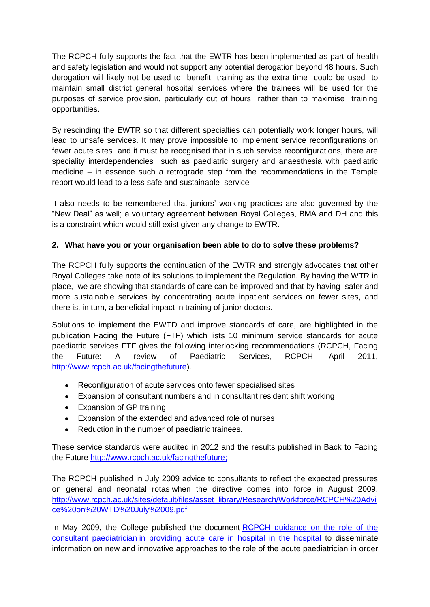The RCPCH fully supports the fact that the EWTR has been implemented as part of health and safety legislation and would not support any potential derogation beyond 48 hours. Such derogation will likely not be used to benefit training as the extra time could be used to maintain small district general hospital services where the trainees will be used for the purposes of service provision, particularly out of hours rather than to maximise training opportunities.

By rescinding the EWTR so that different specialties can potentially work longer hours, will lead to unsafe services. It may prove impossible to implement service reconfigurations on fewer acute sites and it must be recognised that in such service reconfigurations, there are speciality interdependencies such as paediatric surgery and anaesthesia with paediatric medicine – in essence such a retrograde step from the recommendations in the Temple report would lead to a less safe and sustainable service

It also needs to be remembered that juniors' working practices are also governed by the "New Deal" as well; a voluntary agreement between Royal Colleges, BMA and DH and this is a constraint which would still exist given any change to EWTR.

## **2. What have you or your organisation been able to do to solve these problems?**

The RCPCH fully supports the continuation of the EWTR and strongly advocates that other Royal Colleges take note of its solutions to implement the Regulation. By having the WTR in place, we are showing that standards of care can be improved and that by having safer and more sustainable services by concentrating acute inpatient services on fewer sites, and there is, in turn, a beneficial impact in training of junior doctors.

Solutions to implement the EWTD and improve standards of care, are highlighted in the publication Facing the Future (FTF) which lists 10 minimum service standards for acute paediatric services FTF gives the following interlocking recommendations (RCPCH, Facing the Future: A review of Paediatric Services, RCPCH, April 2011, [http://www.rcpch.ac.uk/facingthefuture\)](http://www.rcpch.ac.uk/facingthefuture).

- Reconfiguration of acute services onto fewer specialised sites  $\bullet$
- Expansion of consultant numbers and in consultant resident shift working
- Expansion of GP training
- Expansion of the extended and advanced role of nurses  $\bullet$
- Reduction in the number of paediatric trainees.

These service standards were audited in 2012 and the results published in Back to Facing the Future [http://www.rcpch.ac.uk/facingthefuture;](http://www.rcpch.ac.uk/facingthefuture)

The RCPCH published in July 2009 advice to consultants to reflect the expected pressures on general and neonatal rotas when the directive comes into force in August 2009. [http://www.rcpch.ac.uk/sites/default/files/asset\\_library/Research/Workforce/RCPCH%20Advi](http://www.rcpch.ac.uk/sites/default/files/asset_library/Research/Workforce/RCPCH%20Advice%20on%20WTD%20July%2009.pdf) [ce%20on%20WTD%20July%2009.pdf](http://www.rcpch.ac.uk/sites/default/files/asset_library/Research/Workforce/RCPCH%20Advice%20on%20WTD%20July%2009.pdf)

In May 2009, the College published the document [RCPCH guidance on the role of the](http://www.rcpch.ac.uk/system/files/protected/page/RCPCH%20Role%20of%20the%20Consultant%20Paediatrician%20FINAL.pdf)  consultant paediatrician [in providing acute care in hospital in the hospital](http://www.rcpch.ac.uk/system/files/protected/page/RCPCH%20Role%20of%20the%20Consultant%20Paediatrician%20FINAL.pdf) to disseminate information on new and innovative approaches to the role of the acute paediatrician in order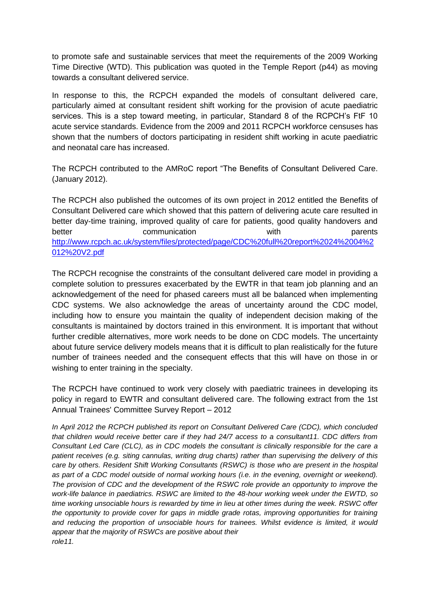to promote safe and sustainable services that meet the requirements of the 2009 Working Time Directive (WTD). This publication was quoted in the Temple Report (p44) as moving towards a consultant delivered service.

In response to this, the RCPCH expanded the models of consultant delivered care, particularly aimed at consultant resident shift working for the provision of acute paediatric services. This is a step toward meeting, in particular, Standard 8 of the RCPCH's FtF 10 acute service standards. Evidence from the 2009 and 2011 RCPCH workforce censuses has shown that the numbers of doctors participating in resident shift working in acute paediatric and neonatal care has increased.

The RCPCH contributed to the AMRoC report "The Benefits of Consultant Delivered Care. (January 2012).

The RCPCH also published the outcomes of its own project in 2012 entitled the Benefits of Consultant Delivered care which showed that this pattern of delivering acute care resulted in better day-time training, improved quality of care for patients, good quality handovers and better communication with parents [http://www.rcpch.ac.uk/system/files/protected/page/CDC%20full%20report%2024%2004%2](http://www.rcpch.ac.uk/system/files/protected/page/CDC%20full%20report%2024%2004%2012%20V2.pdf) [012%20V2.pdf](http://www.rcpch.ac.uk/system/files/protected/page/CDC%20full%20report%2024%2004%2012%20V2.pdf)

The RCPCH recognise the constraints of the consultant delivered care model in providing a complete solution to pressures exacerbated by the EWTR in that team job planning and an acknowledgement of the need for phased careers must all be balanced when implementing CDC systems. We also acknowledge the areas of uncertainty around the CDC model, including how to ensure you maintain the quality of independent decision making of the consultants is maintained by doctors trained in this environment. It is important that without further credible alternatives, more work needs to be done on CDC models. The uncertainty about future service delivery models means that it is difficult to plan realistically for the future number of trainees needed and the consequent effects that this will have on those in or wishing to enter training in the specialty.

The RCPCH have continued to work very closely with paediatric trainees in developing its policy in regard to EWTR and consultant delivered care. The following extract from the 1st Annual Trainees' Committee Survey Report – 2012

*In April 2012 the RCPCH published its report on Consultant Delivered Care (CDC), which concluded that children would receive better care if they had 24/7 access to a consultant11. CDC differs from Consultant Led Care (CLC), as in CDC models the consultant is clinically responsible for the care a patient receives (e.g. siting cannulas, writing drug charts) rather than supervising the delivery of this care by others. Resident Shift Working Consultants (RSWC) is those who are present in the hospital as part of a CDC model outside of normal working hours (i.e. in the evening, overnight or weekend). The provision of CDC and the development of the RSWC role provide an opportunity to improve the work-life balance in paediatrics. RSWC are limited to the 48-hour working week under the EWTD, so time working unsociable hours is rewarded by time in lieu at other times during the week. RSWC offer the opportunity to provide cover for gaps in middle grade rotas, improving opportunities for training and reducing the proportion of unsociable hours for trainees. Whilst evidence is limited, it would appear that the majority of RSWCs are positive about their role11.*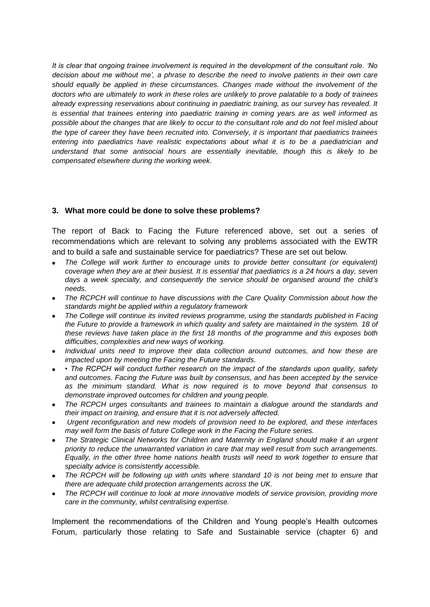*It is clear that ongoing trainee involvement is required in the development of the consultant role. 'No decision about me without me', a phrase to describe the need to involve patients in their own care should equally be applied in these circumstances. Changes made without the involvement of the doctors who are ultimately to work in these roles are unlikely to prove palatable to a body of trainees already expressing reservations about continuing in paediatric training, as our survey has revealed. It is essential that trainees entering into paediatric training in coming years are as well informed as possible about the changes that are likely to occur to the consultant role and do not feel misled about the type of career they have been recruited into. Conversely, it is important that paediatrics trainees entering into paediatrics have realistic expectations about what it is to be a paediatrician and understand that some antisocial hours are essentially inevitable, though this is likely to be compensated elsewhere during the working week.*

## **3. What more could be done to solve these problems?**

The report of Back to Facing the Future referenced above, set out a series of recommendations which are relevant to solving any problems associated with the EWTR and to build a safe and sustainable service for paediatrics? These are set out below.

- The College will work further to encourage units to provide better consultant (or equivalent) *coverage when they are at their busiest. It is essential that paediatrics is a 24 hours a day, seven days a week specialty, and consequently the service should be organised around the child's needs.*
- *The RCPCH will continue to have discussions with the Care Quality Commission about how the standards might be applied within a regulatory framework*
- *The College will continue its invited reviews programme, using the standards published in Facing the Future to provide a framework in which quality and safety are maintained in the system. 18 of these reviews have taken place in the first 18 months of the programme and this exposes both difficulties, complexities and new ways of working.*
- *Individual units need to improve their data collection around outcomes, and how these are impacted upon by meeting the Facing the Future standards.*
- *The RCPCH will conduct further research on the impact of the standards upon quality, safety and outcomes. Facing the Future was built by consensus, and has been accepted by the service as the minimum standard. What is now required is to move beyond that consensus to demonstrate improved outcomes for children and young people.*
- *The RCPCH urges consultants and trainees to maintain a dialogue around the standards and their impact on training, and ensure that it is not adversely affected.*
- *Urgent reconfiguration and new models of provision need to be explored, and these interfaces may well form the basis of future College work in the Facing the Future series.*
- The Strategic Clinical Networks for Children and Maternity in England should make it an urgent *priority to reduce the unwarranted variation in care that may well result from such arrangements. Equally, in the other three home nations health trusts will need to work together to ensure that specialty advice is consistently accessible.*
- The RCPCH will be following up with units where standard 10 is not being met to ensure that *there are adequate child protection arrangements across the UK.*
- *The RCPCH will continue to look at more innovative models of service provision, providing more care in the community, whilst centralising expertise.*

Implement the recommendations of the Children and Young people's Health outcomes Forum, particularly those relating to Safe and Sustainable service (chapter 6) and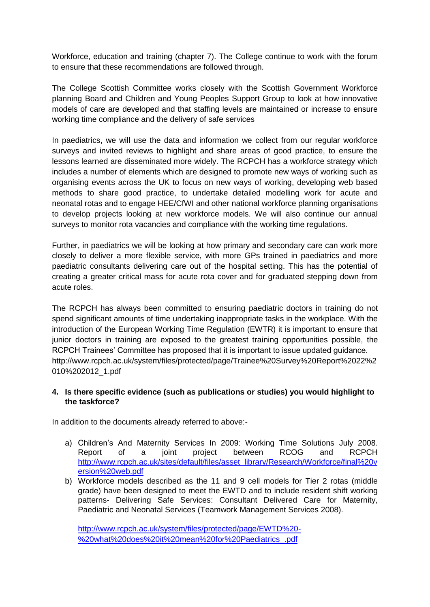Workforce, education and training (chapter 7). The College continue to work with the forum to ensure that these recommendations are followed through.

The College Scottish Committee works closely with the Scottish Government Workforce planning Board and Children and Young Peoples Support Group to look at how innovative models of care are developed and that staffing levels are maintained or increase to ensure working time compliance and the delivery of safe services

In paediatrics, we will use the data and information we collect from our regular workforce surveys and invited reviews to highlight and share areas of good practice, to ensure the lessons learned are disseminated more widely. The RCPCH has a workforce strategy which includes a number of elements which are designed to promote new ways of working such as organising events across the UK to focus on new ways of working, developing web based methods to share good practice, to undertake detailed modelling work for acute and neonatal rotas and to engage HEE/CfWI and other national workforce planning organisations to develop projects looking at new workforce models. We will also continue our annual surveys to monitor rota vacancies and compliance with the working time regulations.

Further, in paediatrics we will be looking at how primary and secondary care can work more closely to deliver a more flexible service, with more GPs trained in paediatrics and more paediatric consultants delivering care out of the hospital setting. This has the potential of creating a greater critical mass for acute rota cover and for graduated stepping down from acute roles.

The RCPCH has always been committed to ensuring paediatric doctors in training do not spend significant amounts of time undertaking inappropriate tasks in the workplace. With the introduction of the European Working Time Regulation (EWTR) it is important to ensure that junior doctors in training are exposed to the greatest training opportunities possible, the RCPCH Trainees' Committee has proposed that it is important to issue updated guidance. [http://www.rcpch.ac.uk/system/files/protected/page/Trainee%20Survey%20Report%2022%2](http://www.rcpch.ac.uk/system/files/protected/page/Trainee%20Survey%20Report%2022%2010%202012_1.pdf) [010%202012\\_1.pdf](http://www.rcpch.ac.uk/system/files/protected/page/Trainee%20Survey%20Report%2022%2010%202012_1.pdf)

## **4. Is there specific evidence (such as publications or studies) you would highlight to the taskforce?**

In addition to the documents already referred to above:-

- a) Children's And Maternity Services In 2009: Working Time Solutions July 2008. Report of a joint project between RCOG and RCPCH [http://www.rcpch.ac.uk/sites/default/files/asset\\_library/Research/Workforce/final%20v](http://www.rcpch.ac.uk/sites/default/files/asset_library/Research/Workforce/final%20version%20web.pdf) [ersion%20web.pdf](http://www.rcpch.ac.uk/sites/default/files/asset_library/Research/Workforce/final%20version%20web.pdf)
- b) Workforce models described as the 11 and 9 cell models for Tier 2 rotas (middle grade) have been designed to meet the EWTD and to include resident shift working patterns- Delivering Safe Services: Consultant Delivered Care for Maternity, Paediatric and Neonatal Services (Teamwork Management Services 2008).